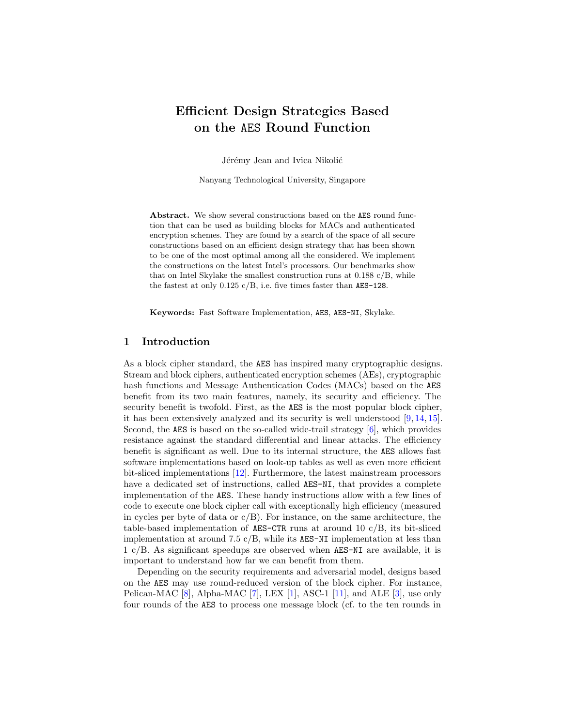## Efficient Design Strategies Based on the AES Round Function

Jérémy Jean and Ivica Nikolić

Nanyang Technological University, Singapore

Abstract. We show several constructions based on the AES round function that can be used as building blocks for MACs and authenticated encryption schemes. They are found by a search of the space of all secure constructions based on an efficient design strategy that has been shown to be one of the most optimal among all the considered. We implement the constructions on the latest Intel's processors. Our benchmarks show that on Intel Skylake the smallest construction runs at 0.188 c/B, while the fastest at only 0.125 c/B, i.e. five times faster than AES-128.

Keywords: Fast Software Implementation, AES, AES-NI, Skylake.

### 1 Introduction

As a block cipher standard, the AES has inspired many cryptographic designs. Stream and block ciphers, authenticated encryption schemes (AEs), cryptographic hash functions and Message Authentication Codes (MACs) based on the AES benefit from its two main features, namely, its security and efficiency. The security benefit is twofold. First, as the AES is the most popular block cipher, it has been extensively analyzed and its security is well understood [\[9,](#page-19-0) [14,](#page-19-1) [15\]](#page-19-2). Second, the AES is based on the so-called wide-trail strategy [\[6\]](#page-18-0), which provides resistance against the standard differential and linear attacks. The efficiency benefit is significant as well. Due to its internal structure, the AES allows fast software implementations based on look-up tables as well as even more efficient bit-sliced implementations [\[12\]](#page-19-3). Furthermore, the latest mainstream processors have a dedicated set of instructions, called AES-NI, that provides a complete implementation of the AES. These handy instructions allow with a few lines of code to execute one block cipher call with exceptionally high efficiency (measured in cycles per byte of data or  $c/B$ ). For instance, on the same architecture, the table-based implementation of AES-CTR runs at around 10 c/B, its bit-sliced implementation at around 7.5  $c/B$ , while its AES-NI implementation at less than 1 c/B. As significant speedups are observed when AES-NI are available, it is important to understand how far we can benefit from them.

Depending on the security requirements and adversarial model, designs based on the AES may use round-reduced version of the block cipher. For instance, Pelican-MAC  $[8]$ , Alpha-MAC  $[7]$ , LEX  $[1]$ , ASC-1  $[11]$ , and ALE  $[3]$ , use only four rounds of the AES to process one message block (cf. to the ten rounds in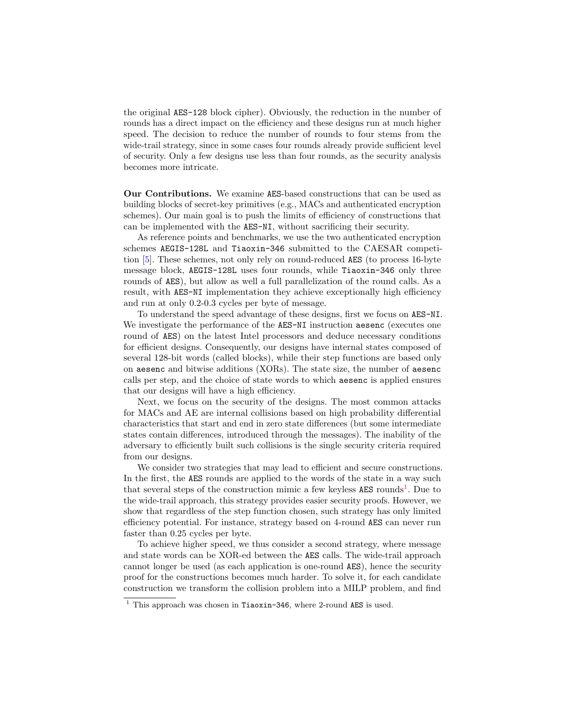the original AES-128 block cipher). Obviously, the reduction in the number of rounds has a direct impact on the efficiency and these designs run at much higher speed. The decision to reduce the number of rounds to four stems from the wide-trail strategy, since in some cases four rounds already provide sufficient level of security. Only a few designs use less than four rounds, as the security analysis becomes more intricate.

Our Contributions. We examine AES-based constructions that can be used as building blocks of secret-key primitives (e.g., MACs and authenticated encryption schemes). Our main goal is to push the limits of efficiency of constructions that can be implemented with the AES-NI, without sacrificing their security.

As reference points and benchmarks, we use the two authenticated encryption schemes AEGIS-128L and Tiaoxin-346 submitted to the CAESAR competition [\[5\]](#page-18-5). These schemes, not only rely on round-reduced AES (to process 16-byte message block, AEGIS-128L uses four rounds, while Tiaoxin-346 only three rounds of AES), but allow as well a full parallelization of the round calls. As a result, with AES-NI implementation they achieve exceptionally high efficiency and run at only 0.2-0.3 cycles per byte of message.

To understand the speed advantage of these designs, first we focus on AES-NI. We investigate the performance of the AES-NI instruction aesenc (executes one round of AES) on the latest Intel processors and deduce necessary conditions for efficient designs. Consequently, our designs have internal states composed of several 128-bit words (called blocks), while their step functions are based only on aesenc and bitwise additions (XORs). The state size, the number of aesenc calls per step, and the choice of state words to which aesenc is applied ensures that our designs will have a high efficiency.

Next, we focus on the security of the designs. The most common attacks for MACs and AE are internal collisions based on high probability differential characteristics that start and end in zero state differences (but some intermediate states contain differences, introduced through the messages). The inability of the adversary to efficiently built such collisions is the single security criteria required from our designs.

We consider two strategies that may lead to efficient and secure constructions. In the first, the AES rounds are applied to the words of the state in a way such that several steps of the construction mimic a few keyless **AES** rounds<sup>[1](#page-1-0)</sup>. Due to the wide-trail approach, this strategy provides easier security proofs. However, we show that regardless of the step function chosen, such strategy has only limited efficiency potential. For instance, strategy based on 4-round AES can never run faster than 0.25 cycles per byte.

To achieve higher speed, we thus consider a second strategy, where message and state words can be XOR-ed between the AES calls. The wide-trail approach cannot longer be used (as each application is one-round AES), hence the security proof for the constructions becomes much harder. To solve it, for each candidate construction we transform the collision problem into a MILP problem, and find

<span id="page-1-0"></span> $1$  This approach was chosen in Tiaoxin-346, where 2-round AES is used.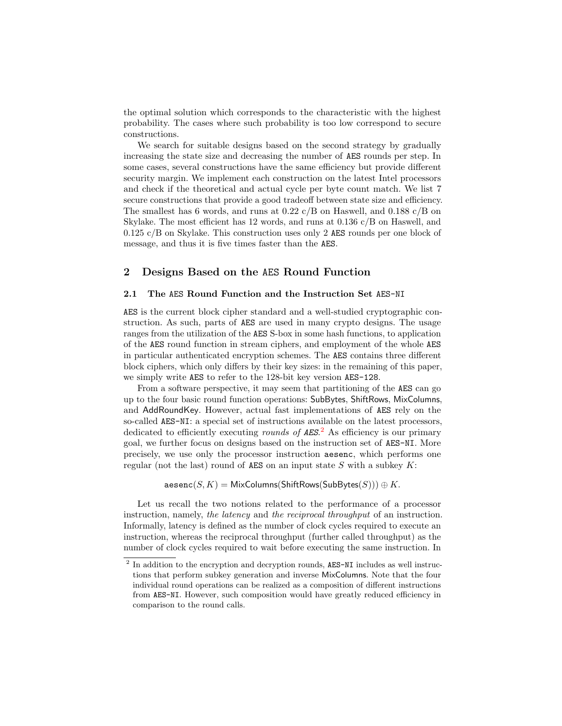the optimal solution which corresponds to the characteristic with the highest probability. The cases where such probability is too low correspond to secure constructions.

We search for suitable designs based on the second strategy by gradually increasing the state size and decreasing the number of AES rounds per step. In some cases, several constructions have the same efficiency but provide different security margin. We implement each construction on the latest Intel processors and check if the theoretical and actual cycle per byte count match. We list 7 secure constructions that provide a good tradeoff between state size and efficiency. The smallest has 6 words, and runs at  $0.22 \text{ c}/\text{B}$  on Haswell, and  $0.188 \text{ c}/\text{B}$  on Skylake. The most efficient has 12 words, and runs at 0.136 c/B on Haswell, and 0.125 c/B on Skylake. This construction uses only 2 AES rounds per one block of message, and thus it is five times faster than the AES.

### 2 Designs Based on the AES Round Function

### 2.1 The AES Round Function and the Instruction Set AES-NI

AES is the current block cipher standard and a well-studied cryptographic construction. As such, parts of AES are used in many crypto designs. The usage ranges from the utilization of the AES S-box in some hash functions, to application of the AES round function in stream ciphers, and employment of the whole AES in particular authenticated encryption schemes. The AES contains three different block ciphers, which only differs by their key sizes: in the remaining of this paper, we simply write AES to refer to the 128-bit key version AES-128.

From a software perspective, it may seem that partitioning of the AES can go up to the four basic round function operations: SubBytes, ShiftRows, MixColumns, and AddRoundKey. However, actual fast implementations of AES rely on the so-called AES-NI: a special set of instructions available on the latest processors, dedicated to efficiently executing *rounds of AES*.<sup>[2](#page-2-0)</sup> As efficiency is our primary goal, we further focus on designs based on the instruction set of AES-NI. More precisely, we use only the processor instruction aesenc, which performs one regular (not the last) round of AES on an input state  $S$  with a subkey  $K$ :

 $\mathsf{aesenc}(S, K) = \mathsf{MixColumns}(\mathsf{ShiftRows}(\mathsf{SubBytes}(S))) \oplus K.$ 

Let us recall the two notions related to the performance of a processor instruction, namely, the latency and the reciprocal throughput of an instruction. Informally, latency is defined as the number of clock cycles required to execute an instruction, whereas the reciprocal throughput (further called throughput) as the number of clock cycles required to wait before executing the same instruction. In

<span id="page-2-0"></span> $2$  In addition to the encryption and decryption rounds, AES-NI includes as well instructions that perform subkey generation and inverse MixColumns. Note that the four individual round operations can be realized as a composition of different instructions from AES-NI. However, such composition would have greatly reduced efficiency in comparison to the round calls.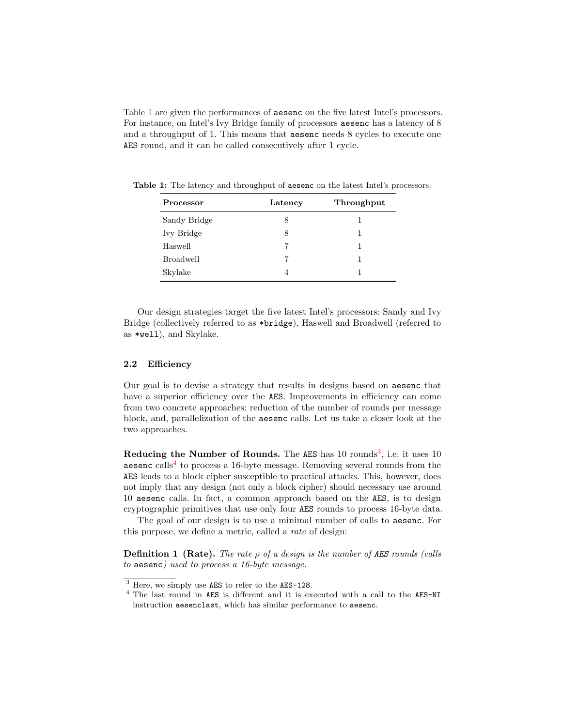Table [1](#page-3-0) are given the performances of aesenc on the five latest Intel's processors. For instance, on Intel's Ivy Bridge family of processors aesenc has a latency of 8 and a throughput of 1. This means that aesenc needs 8 cycles to execute one AES round, and it can be called consecutively after 1 cycle.

| Processor        | Latency | Throughput |  |  |  |  |
|------------------|---------|------------|--|--|--|--|
| Sandy Bridge     | 8       |            |  |  |  |  |
| Ivy Bridge       | 8       |            |  |  |  |  |
| Haswell          |         |            |  |  |  |  |
| <b>Broadwell</b> |         |            |  |  |  |  |
| Skylake          |         |            |  |  |  |  |

<span id="page-3-0"></span>Table 1: The latency and throughput of aesenc on the latest Intel's processors.

Our design strategies target the five latest Intel's processors: Sandy and Ivy Bridge (collectively referred to as \*bridge), Haswell and Broadwell (referred to as \*well), and Skylake.

### 2.2 Efficiency

Our goal is to devise a strategy that results in designs based on aesenc that have a superior efficiency over the AES. Improvements in efficiency can come from two concrete approaches: reduction of the number of rounds per message block, and, parallelization of the aesenc calls. Let us take a closer look at the two approaches.

Reducing the Number of Rounds. The AES has 10 rounds<sup>[3](#page-3-1)</sup>, i.e. it uses 10 aesenc calls<sup>[4](#page-3-2)</sup> to process a 16-byte message. Removing several rounds from the AES leads to a block cipher susceptible to practical attacks. This, however, does not imply that any design (not only a block cipher) should necessary use around 10 aesenc calls. In fact, a common approach based on the AES, is to design cryptographic primitives that use only four AES rounds to process 16-byte data.

The goal of our design is to use a minimal number of calls to aesenc. For this purpose, we define a metric, called a rate of design:

<span id="page-3-3"></span>**Definition 1 (Rate).** The rate  $\rho$  of a design is the number of AES rounds (calls to aesenc) used to process a 16-byte message.

<span id="page-3-1"></span><sup>3</sup> Here, we simply use AES to refer to the AES-128.

<span id="page-3-2"></span><sup>4</sup> The last round in AES is different and it is executed with a call to the AES-NI instruction aesenclast, which has similar performance to aesenc.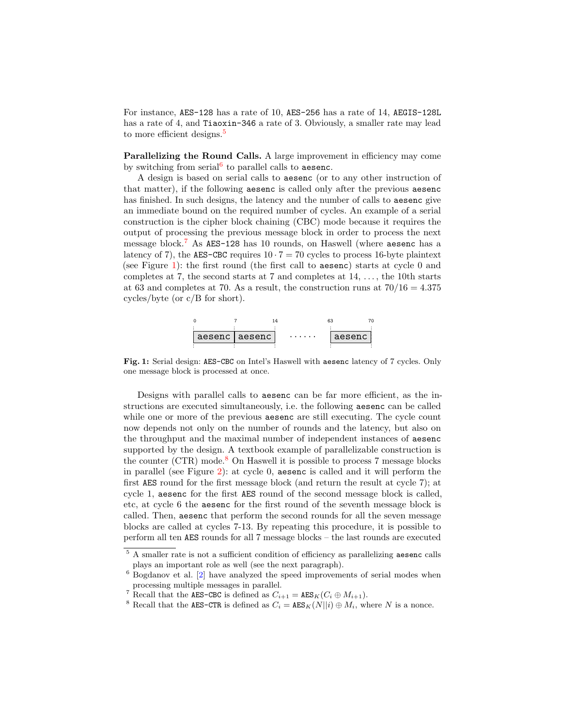For instance, AES-128 has a rate of 10, AES-256 has a rate of 14, AEGIS-128L has a rate of 4, and **Tiaoxin-346** a rate of 3. Obviously, a smaller rate may lead to more efficient designs.<sup>[5](#page-4-0)</sup>

Parallelizing the Round Calls. A large improvement in efficiency may come by switching from serial<sup>[6](#page-4-1)</sup> to parallel calls to aesenc.

A design is based on serial calls to aesenc (or to any other instruction of that matter), if the following aesenc is called only after the previous aesenc has finished. In such designs, the latency and the number of calls to aesenc give an immediate bound on the required number of cycles. An example of a serial construction is the cipher block chaining (CBC) mode because it requires the output of processing the previous message block in order to process the next message block.[7](#page-4-2) As AES-128 has 10 rounds, on Haswell (where aesenc has a latency of 7), the AES-CBC requires  $10 \cdot 7 = 70$  cycles to process 16-byte plaintext (see Figure [1\)](#page-4-3): the first round (the first call to aesenc) starts at cycle 0 and completes at 7, the second starts at 7 and completes at  $14, \ldots$ , the 10th starts at 63 and completes at 70. As a result, the construction runs at  $70/16 = 4.375$ cycles/byte (or c/B for short).



<span id="page-4-3"></span>Fig. 1: Serial design: AES-CBC on Intel's Haswell with aesenc latency of 7 cycles. Only one message block is processed at once.

Designs with parallel calls to aesenc can be far more efficient, as the instructions are executed simultaneously, i.e. the following aesenc can be called while one or more of the previous aesenc are still executing. The cycle count now depends not only on the number of rounds and the latency, but also on the throughput and the maximal number of independent instances of aesenc supported by the design. A textbook example of parallelizable construction is the counter  $(CTR)$  mode.<sup>[8](#page-4-4)</sup> On Haswell it is possible to process 7 message blocks in parallel (see Figure [2\)](#page-5-0): at cycle 0, aesenc is called and it will perform the first AES round for the first message block (and return the result at cycle 7); at cycle 1, aesenc for the first AES round of the second message block is called, etc, at cycle 6 the aesenc for the first round of the seventh message block is called. Then, aesenc that perform the second rounds for all the seven message blocks are called at cycles 7-13. By repeating this procedure, it is possible to perform all ten AES rounds for all 7 message blocks – the last rounds are executed

<span id="page-4-4"></span><sup>8</sup> Recall that the AES-CTR is defined as  $C_i = \text{AES}_K(N||i) \oplus M_i$ , where N is a nonce.

<span id="page-4-0"></span><sup>&</sup>lt;sup>5</sup> A smaller rate is not a sufficient condition of efficiency as parallelizing aesenc calls plays an important role as well (see the next paragraph).

<span id="page-4-1"></span><sup>6</sup> Bogdanov et al. [\[2\]](#page-18-6) have analyzed the speed improvements of serial modes when processing multiple messages in parallel.

<span id="page-4-2"></span><sup>&</sup>lt;sup>7</sup> Recall that the **AES-CBC** is defined as  $C_{i+1} = \texttt{AES}_K(C_i \oplus M_{i+1}).$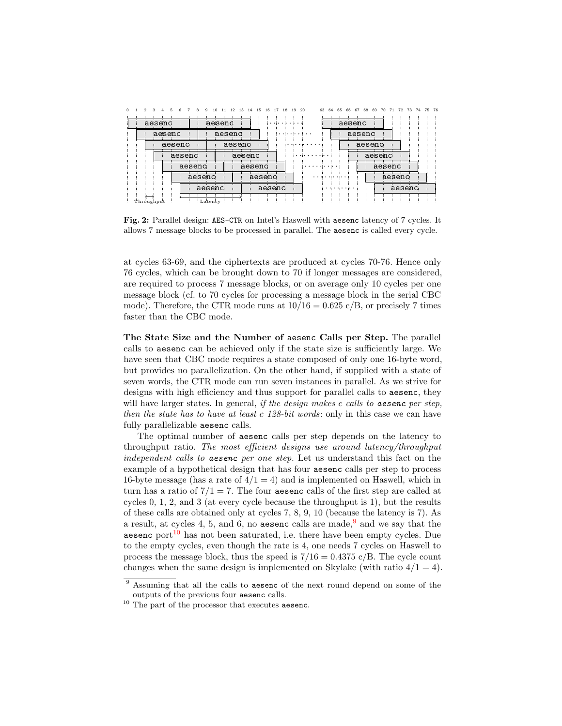<span id="page-5-0"></span>

| Ω |                                      |        | 10<br>a | 14<br>15                             | 16<br>17<br>18 | 19 | 20<br>63 | 64<br>65 | 66     | 68<br>67         | 69 | 70 |  |  | 75. | - 76 |
|---|--------------------------------------|--------|---------|--------------------------------------|----------------|----|----------|----------|--------|------------------|----|----|--|--|-----|------|
|   | aesenc                               |        | aesenc  |                                      | $\cdots$       |    |          |          |        | aesenc           |    |    |  |  |     |      |
|   | aesenc                               |        | aesenc  |                                      |                |    |          |          |        | aesenc           |    |    |  |  |     |      |
|   | aesenc                               | aesenc |         |                                      |                |    |          | aesenc   |        |                  |    |    |  |  |     |      |
|   | aesenc<br>aesenc<br>aesenc<br>aesenc |        |         | aesenc<br>aesenc<br>aesenc<br>aesenc |                |    | $\cdots$ |          |        | aesenc<br>aesenc |    |    |  |  |     |      |
|   |                                      |        |         |                                      |                |    |          |          |        |                  |    |    |  |  |     |      |
|   |                                      |        |         |                                      |                |    |          |          |        | aesenc           |    |    |  |  |     |      |
|   |                                      |        |         |                                      |                |    |          |          | aesenc |                  |    |    |  |  |     |      |
|   | Throughput                           |        | Latency |                                      |                |    |          |          |        |                  |    |    |  |  |     |      |

Fig. 2: Parallel design: AES-CTR on Intel's Haswell with aesenc latency of 7 cycles. It allows 7 message blocks to be processed in parallel. The aesenc is called every cycle.

at cycles 63-69, and the ciphertexts are produced at cycles 70-76. Hence only 76 cycles, which can be brought down to 70 if longer messages are considered, are required to process 7 message blocks, or on average only 10 cycles per one message block (cf. to 70 cycles for processing a message block in the serial CBC mode). Therefore, the CTR mode runs at  $10/16 = 0.625 \text{ c/B}$ , or precisely 7 times faster than the CBC mode.

The State Size and the Number of aesenc Calls per Step. The parallel calls to aesenc can be achieved only if the state size is sufficiently large. We have seen that CBC mode requires a state composed of only one 16-byte word, but provides no parallelization. On the other hand, if supplied with a state of seven words, the CTR mode can run seven instances in parallel. As we strive for designs with high efficiency and thus support for parallel calls to aesenc, they will have larger states. In general, if the design makes  $c$  calls to aesenc per step, then the state has to have at least  $c$  128-bit words: only in this case we can have fully parallelizable aesenc calls.

The optimal number of aesenc calls per step depends on the latency to throughput ratio. The most efficient designs use around latency/throughput independent calls to aesenc per one step. Let us understand this fact on the example of a hypothetical design that has four aesenc calls per step to process 16-byte message (has a rate of  $4/1 = 4$ ) and is implemented on Haswell, which in turn has a ratio of  $7/1 = 7$ . The four aesenc calls of the first step are called at cycles 0, 1, 2, and 3 (at every cycle because the throughput is 1), but the results of these calls are obtained only at cycles 7, 8, 9, 10 (because the latency is 7). As a result, at cycles 4, 5, and 6, no aesenc calls are made,  $9$  and we say that the aesenc port $10$  has not been saturated, i.e. there have been empty cycles. Due to the empty cycles, even though the rate is 4, one needs 7 cycles on Haswell to process the message block, thus the speed is  $7/16 = 0.4375$  c/B. The cycle count changes when the same design is implemented on Skylake (with ratio  $4/1 = 4$ ).

<span id="page-5-1"></span><sup>&</sup>lt;sup>9</sup> Assuming that all the calls to aesenc of the next round depend on some of the outputs of the previous four aesenc calls.

<span id="page-5-2"></span><sup>&</sup>lt;sup>10</sup> The part of the processor that executes aesenc.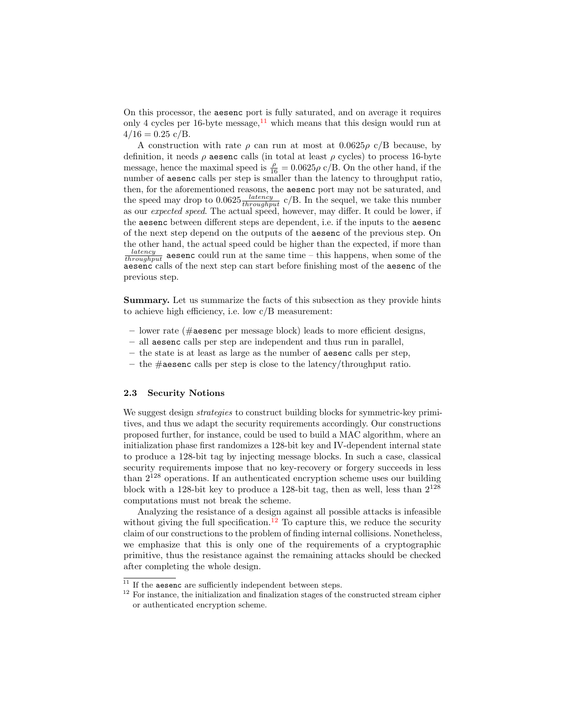On this processor, the aesenc port is fully saturated, and on average it requires only 4 cycles per 16-byte message,  $11$  which means that this design would run at  $4/16 = 0.25$  c/B.

A construction with rate  $\rho$  can run at most at 0.0625 $\rho$  c/B because, by definition, it needs  $\rho$  aesenc calls (in total at least  $\rho$  cycles) to process 16-byte message, hence the maximal speed is  $\frac{\rho}{16} = 0.0625\rho \text{ c}/\text{B}$ . On the other hand, if the number of aesenc calls per step is smaller than the latency to throughput ratio, then, for the aforementioned reasons, the aesenc port may not be saturated, and the speed may drop to  $0.0625 \frac{latency}{throughput}$  c/B. In the sequel, we take this number as our expected speed. The actual speed, however, may differ. It could be lower, if the aesenc between different steps are dependent, i.e. if the inputs to the aesenc of the next step depend on the outputs of the aesenc of the previous step. On the other hand, the actual speed could be higher than the expected, if more than  $\frac{latency}{throughput}$  aesenc could run at the same time – this happens, when some of the aesenc calls of the next step can start before finishing most of the aesenc of the previous step.

Summary. Let us summarize the facts of this subsection as they provide hints to achieve high efficiency, i.e. low c/B measurement:

- $-$  lower rate (#aesenc per message block) leads to more efficient designs,
- all aesenc calls per step are independent and thus run in parallel,
- the state is at least as large as the number of aesenc calls per step,
- the  $\#$ **aesenc** calls per step is close to the latency/throughput ratio.

### 2.3 Security Notions

We suggest design strategies to construct building blocks for symmetric-key primitives, and thus we adapt the security requirements accordingly. Our constructions proposed further, for instance, could be used to build a MAC algorithm, where an initialization phase first randomizes a 128-bit key and IV-dependent internal state to produce a 128-bit tag by injecting message blocks. In such a case, classical security requirements impose that no key-recovery or forgery succeeds in less than  $2^{128}$  operations. If an authenticated encryption scheme uses our building block with a 128-bit key to produce a 128-bit tag, then as well, less than  $2^{128}$ computations must not break the scheme.

Analyzing the resistance of a design against all possible attacks is infeasible without giving the full specification.<sup>[12](#page-6-1)</sup> To capture this, we reduce the security claim of our constructions to the problem of finding internal collisions. Nonetheless, we emphasize that this is only one of the requirements of a cryptographic primitive, thus the resistance against the remaining attacks should be checked after completing the whole design.

<span id="page-6-0"></span> $11$  If the aesenc are sufficiently independent between steps.

<span id="page-6-1"></span><sup>&</sup>lt;sup>12</sup> For instance, the initialization and finalization stages of the constructed stream cipher or authenticated encryption scheme.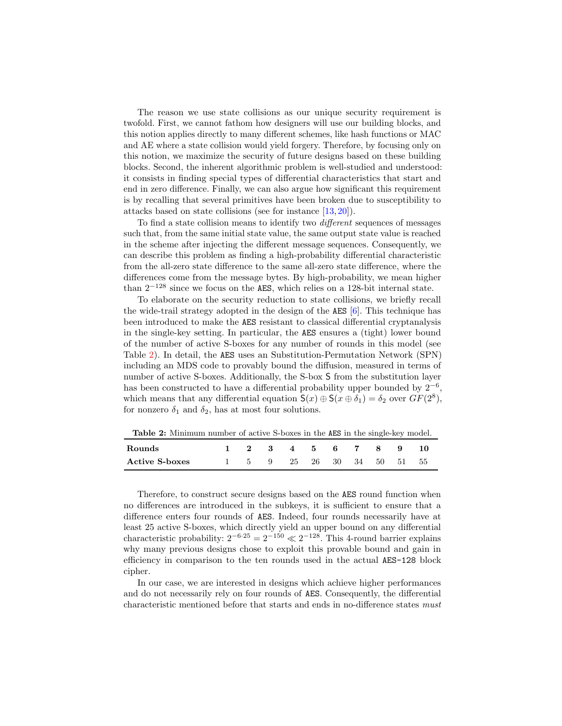The reason we use state collisions as our unique security requirement is twofold. First, we cannot fathom how designers will use our building blocks, and this notion applies directly to many different schemes, like hash functions or MAC and AE where a state collision would yield forgery. Therefore, by focusing only on this notion, we maximize the security of future designs based on these building blocks. Second, the inherent algorithmic problem is well-studied and understood: it consists in finding special types of differential characteristics that start and end in zero difference. Finally, we can also argue how significant this requirement is by recalling that several primitives have been broken due to susceptibility to attacks based on state collisions (see for instance [\[13,](#page-19-5) [20\]](#page-19-6)).

To find a state collision means to identify two different sequences of messages such that, from the same initial state value, the same output state value is reached in the scheme after injecting the different message sequences. Consequently, we can describe this problem as finding a high-probability differential characteristic from the all-zero state difference to the same all-zero state difference, where the differences come from the message bytes. By high-probability, we mean higher than 2<sup>−</sup><sup>128</sup> since we focus on the AES, which relies on a 128-bit internal state.

To elaborate on the security reduction to state collisions, we briefly recall the wide-trail strategy adopted in the design of the AES [\[6\]](#page-18-0). This technique has been introduced to make the AES resistant to classical differential cryptanalysis in the single-key setting. In particular, the AES ensures a (tight) lower bound of the number of active S-boxes for any number of rounds in this model (see Table [2\)](#page-7-0). In detail, the AES uses an Substitution-Permutation Network (SPN) including an MDS code to provably bound the diffusion, measured in terms of number of active S-boxes. Additionally, the S-box S from the substitution layer has been constructed to have a differential probability upper bounded by  $2^{-6}$ , which means that any differential equation  $S(x) \oplus S(x \oplus \delta_1) = \delta_2$  over  $GF(2^8)$ , for nonzero  $\delta_1$  and  $\delta_2$ , has at most four solutions.

<span id="page-7-0"></span>Table 2: Minimum number of active S-boxes in the AES in the single-key model.

| Rounds                |  | 2 3 4 5 6 7 8         |  |  | - 9 |      |
|-----------------------|--|-----------------------|--|--|-----|------|
| <b>Active S-boxes</b> |  | 5 9 25 26 30 34 50 51 |  |  |     | - 55 |

Therefore, to construct secure designs based on the AES round function when no differences are introduced in the subkeys, it is sufficient to ensure that a difference enters four rounds of AES. Indeed, four rounds necessarily have at least 25 active S-boxes, which directly yield an upper bound on any differential characteristic probability:  $2^{-6.25} = 2^{-150} \ll 2^{-128}$ . This 4-round barrier explains why many previous designs chose to exploit this provable bound and gain in efficiency in comparison to the ten rounds used in the actual AES-128 block cipher.

In our case, we are interested in designs which achieve higher performances and do not necessarily rely on four rounds of AES. Consequently, the differential characteristic mentioned before that starts and ends in no-difference states must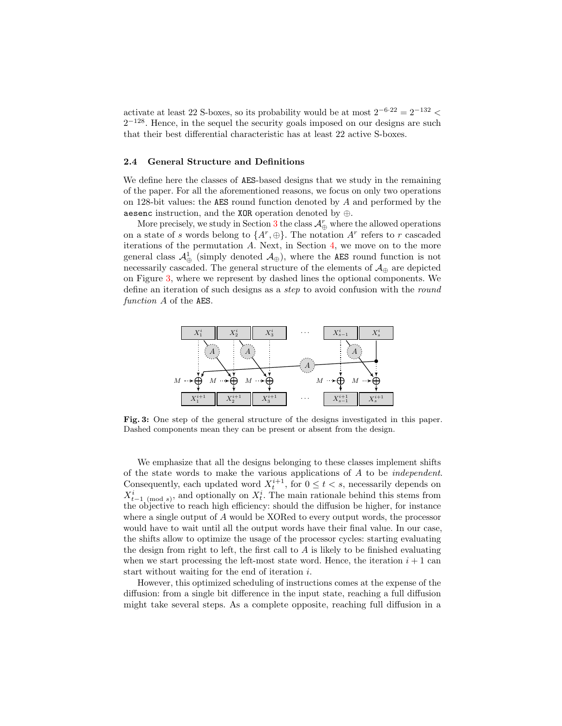activate at least 22 S-boxes, so its probability would be at most  $2^{-6.22} = 2^{-132}$  <  $2^{-128}$ . Hence, in the sequel the security goals imposed on our designs are such that their best differential characteristic has at least 22 active S-boxes.

### 2.4 General Structure and Definitions

We define here the classes of AES-based designs that we study in the remaining of the paper. For all the aforementioned reasons, we focus on only two operations on 128-bit values: the AES round function denoted by  $A$  and performed by the aesenc instruction, and the XOR operation denoted by ⊕.

More precisely, we study in Section [3](#page-9-0) the class  $\mathcal{A}_{\oplus}^{r}$  where the allowed operations on a state of s words belong to  $\{A^r, \oplus\}$ . The notation  $A^r$  refers to r cascaded iterations of the permutation  $A$ . Next, in Section  $4$ , we move on to the more general class  $\mathcal{A}_{\oplus}^1$  (simply denoted  $\mathcal{A}_{\oplus}$ ), where the AES round function is not necessarily cascaded. The general structure of the elements of  $\mathcal{A}_{\oplus}$  are depicted on Figure [3,](#page-8-0) where we represent by dashed lines the optional components. We define an iteration of such designs as a *step* to avoid confusion with the round function A of the AES.

<span id="page-8-0"></span>

Fig. 3: One step of the general structure of the designs investigated in this paper. Dashed components mean they can be present or absent from the design.

We emphasize that all the designs belonging to these classes implement shifts of the state words to make the various applications of A to be independent. Consequently, each updated word  $X_t^{i+1}$ , for  $0 \le t < s$ , necessarily depends on Consequently, each updated word  $X_t$ , for  $0 \le t < s$ , hecessarily depends on  $X_{t-1 \pmod{s}}^i$ , and optionally on  $X_t^i$ . The main rationale behind this stems from the objective to reach high efficiency: should the diffusion be higher, for instance where a single output of A would be XORed to every output words, the processor would have to wait until all the output words have their final value. In our case, the shifts allow to optimize the usage of the processor cycles: starting evaluating the design from right to left, the first call to  $A$  is likely to be finished evaluating when we start processing the left-most state word. Hence, the iteration  $i + 1$  can start without waiting for the end of iteration i.

However, this optimized scheduling of instructions comes at the expense of the diffusion: from a single bit difference in the input state, reaching a full diffusion might take several steps. As a complete opposite, reaching full diffusion in a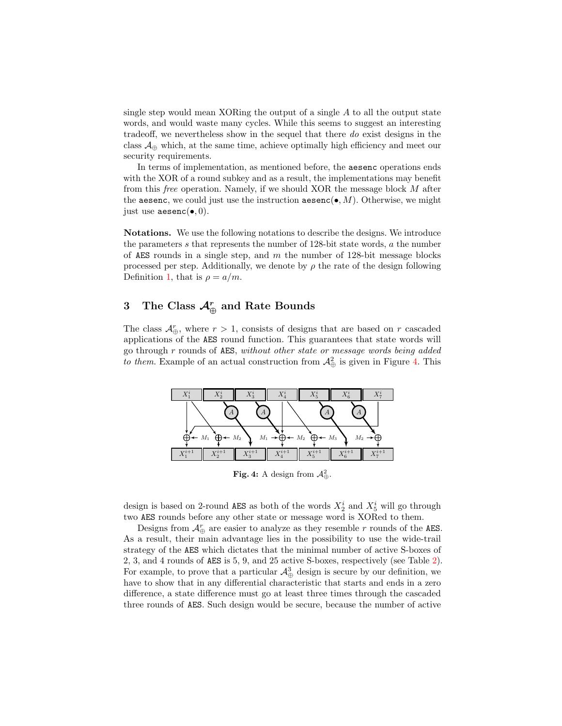single step would mean XORing the output of a single  $A$  to all the output state words, and would waste many cycles. While this seems to suggest an interesting tradeoff, we nevertheless show in the sequel that there do exist designs in the class  $\mathcal{A}_{\oplus}$  which, at the same time, achieve optimally high efficiency and meet our security requirements.

In terms of implementation, as mentioned before, the aesenc operations ends with the XOR of a round subkey and as a result, the implementations may benefit from this free operation. Namely, if we should XOR the message block M after the aesenc, we could just use the instruction aesenc( $\bullet$ , M). Otherwise, we might just use  $\text{aesenc}(\bullet, 0)$ .

Notations. We use the following notations to describe the designs. We introduce the parameters s that represents the number of 128-bit state words, a the number of AES rounds in a single step, and  $m$  the number of 128-bit message blocks processed per step. Additionally, we denote by  $\rho$  the rate of the design following Definition [1,](#page-3-3) that is  $\rho = a/m$ .

# <span id="page-9-0"></span>3 The Class  $\mathcal{A}_{\oplus}^{r}$  and Rate Bounds

The class  $\mathcal{A}_{\oplus}^r$ , where  $r > 1$ , consists of designs that are based on r cascaded applications of the AES round function. This guarantees that state words will go through r rounds of AES, without other state or message words being added to them. Example of an actual construction from  $\mathcal{A}^2_{\oplus}$  is given in Figure [4.](#page-9-1) This

<span id="page-9-1"></span>

**Fig. 4:** A design from  $\mathcal{A}^2_{\oplus}$ .

design is based on 2-round AES as both of the words  $X_2^i$  and  $X_5^i$  will go through two AES rounds before any other state or message word is XORed to them.

Designs from  $\mathcal{A}_{\oplus}^{r}$  are easier to analyze as they resemble  $r$  rounds of the AES. As a result, their main advantage lies in the possibility to use the wide-trail strategy of the AES which dictates that the minimal number of active S-boxes of 2, 3, and 4 rounds of AES is 5, 9, and 25 active S-boxes, respectively (see Table [2\)](#page-7-0). For example, to prove that a particular  $\mathcal{A}^3_{\oplus}$  design is secure by our definition, we have to show that in any differential characteristic that starts and ends in a zero difference, a state difference must go at least three times through the cascaded three rounds of AES. Such design would be secure, because the number of active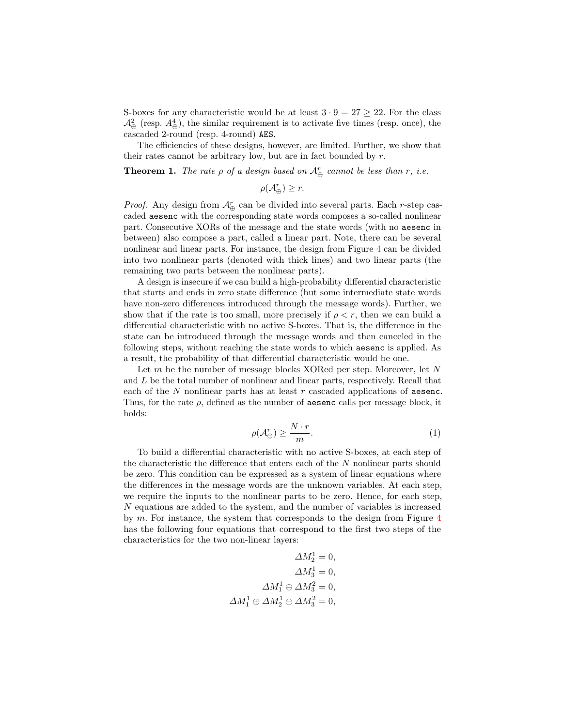S-boxes for any characteristic would be at least  $3 \cdot 9 = 27 \geq 22$ . For the class  $\mathcal{A}^2_{\oplus}$  (resp.  $A^4_{\oplus}$ ), the similar requirement is to activate five times (resp. once), the cascaded 2-round (resp. 4-round) AES.

The efficiencies of these designs, however, are limited. Further, we show that their rates cannot be arbitrary low, but are in fact bounded by  $r$ .

**Theorem 1.** The rate  $\rho$  of a design based on  $\mathcal{A}_{\oplus}^{r}$  cannot be less than r, i.e.

 $\rho(\mathcal{A}_{\oplus}^r) \geq r.$ 

*Proof.* Any design from  $\mathcal{A}_{\oplus}^{r}$  can be divided into several parts. Each *r*-step cascaded aesenc with the corresponding state words composes a so-called nonlinear part. Consecutive XORs of the message and the state words (with no aesenc in between) also compose a part, called a linear part. Note, there can be several nonlinear and linear parts. For instance, the design from Figure [4](#page-9-1) can be divided into two nonlinear parts (denoted with thick lines) and two linear parts (the remaining two parts between the nonlinear parts).

A design is insecure if we can build a high-probability differential characteristic that starts and ends in zero state difference (but some intermediate state words have non-zero differences introduced through the message words). Further, we show that if the rate is too small, more precisely if  $\rho < r$ , then we can build a differential characteristic with no active S-boxes. That is, the difference in the state can be introduced through the message words and then canceled in the following steps, without reaching the state words to which aesenc is applied. As a result, the probability of that differential characteristic would be one.

Let m be the number of message blocks XORed per step. Moreover, let N and L be the total number of nonlinear and linear parts, respectively. Recall that each of the  $N$  nonlinear parts has at least  $r$  cascaded applications of aesenc. Thus, for the rate  $\rho$ , defined as the number of **aesenc** calls per message block, it holds:

<span id="page-10-0"></span>
$$
\rho(\mathcal{A}_{\oplus}^r) \ge \frac{N \cdot r}{m}.\tag{1}
$$

To build a differential characteristic with no active S-boxes, at each step of the characteristic the difference that enters each of the N nonlinear parts should be zero. This condition can be expressed as a system of linear equations where the differences in the message words are the unknown variables. At each step, we require the inputs to the nonlinear parts to be zero. Hence, for each step, N equations are added to the system, and the number of variables is increased by  $m$ . For instance, the system that corresponds to the design from Figure  $4$ has the following four equations that correspond to the first two steps of the characteristics for the two non-linear layers:

$$
\Delta M_2^1 = 0,
$$
  
\n
$$
\Delta M_3^1 = 0,
$$
  
\n
$$
\Delta M_1^1 \oplus \Delta M_3^2 = 0,
$$
  
\n
$$
\Delta M_1^1 \oplus \Delta M_2^1 \oplus \Delta M_3^2 = 0,
$$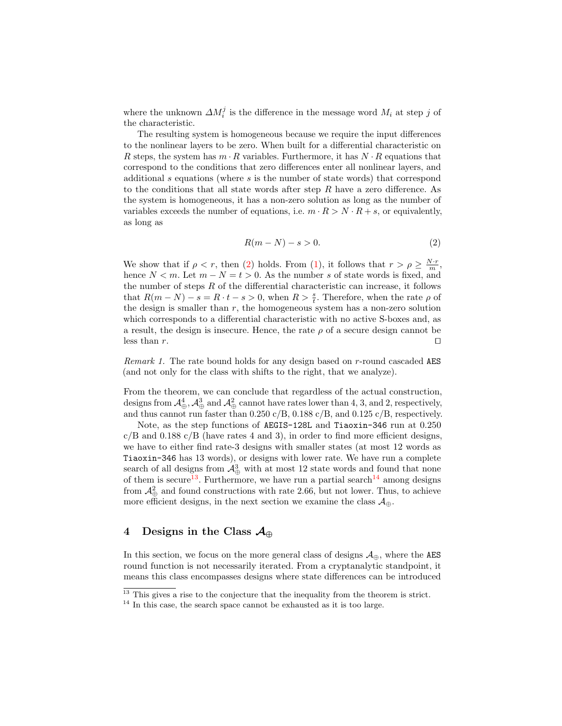where the unknown  $\Delta M_i^j$  is the difference in the message word  $M_i$  at step j of the characteristic.

The resulting system is homogeneous because we require the input differences to the nonlinear layers to be zero. When built for a differential characteristic on R steps, the system has  $m \cdot R$  variables. Furthermore, it has  $N \cdot R$  equations that correspond to the conditions that zero differences enter all nonlinear layers, and additional s equations (where s is the number of state words) that correspond to the conditions that all state words after step  $R$  have a zero difference. As the system is homogeneous, it has a non-zero solution as long as the number of variables exceeds the number of equations, i.e.  $m \cdot R > N \cdot R + s$ , or equivalently, as long as

<span id="page-11-1"></span>
$$
R(m-N) - s > 0. \tag{2}
$$

We show that if  $\rho < r$ , then [\(2\)](#page-11-1) holds. From [\(1\)](#page-10-0), it follows that  $r > \rho \geq \frac{N \cdot r}{m}$ , hence  $N < m$ . Let  $m - N = t > 0$ . As the number s of state words is fixed, and the number of steps  $R$  of the differential characteristic can increase, it follows that  $R(m-N) - s = R \cdot t - s > 0$ , when  $R > \frac{s}{t}$ . Therefore, when the rate  $\rho$  of the design is smaller than  $r$ , the homogeneous system has a non-zero solution which corresponds to a differential characteristic with no active S-boxes and, as a result, the design is insecure. Hence, the rate  $\rho$  of a secure design cannot be less than  $r$ .

Remark 1. The rate bound holds for any design based on r-round cascaded AES (and not only for the class with shifts to the right, that we analyze).

From the theorem, we can conclude that regardless of the actual construction, designs from  $\mathcal{A}^4_{\oplus}$ ,  $\mathcal{A}^3_{\oplus}$  and  $\mathcal{A}^2_{\oplus}$  cannot have rates lower than 4, 3, and 2, respectively, and thus cannot run faster than 0.250 c/B, 0.188 c/B, and 0.125 c/B, respectively.

Note, as the step functions of AEGIS-128L and Tiaoxin-346 run at 0.250  $c/B$  and 0.188  $c/B$  (have rates 4 and 3), in order to find more efficient designs, we have to either find rate-3 designs with smaller states (at most 12 words as Tiaoxin-346 has 13 words), or designs with lower rate. We have run a complete search of all designs from  $\mathcal{A}^3_{\oplus}$  with at most 12 state words and found that none of them is secure<sup>[13](#page-11-2)</sup>. Furthermore, we have run a partial search<sup>[14](#page-11-3)</sup> among designs from  $\mathcal{A}_{\bigoplus}^2$  and found constructions with rate 2.66, but not lower. Thus, to achieve more efficient designs, in the next section we examine the class  $\mathcal{A}_{\oplus}$ .

## <span id="page-11-0"></span>4 Designs in the Class  $\mathcal{A}_{\oplus}$

In this section, we focus on the more general class of designs  $\mathcal{A}_{\oplus}$ , where the AES round function is not necessarily iterated. From a cryptanalytic standpoint, it means this class encompasses designs where state differences can be introduced

<span id="page-11-2"></span> $13$  This gives a rise to the conjecture that the inequality from the theorem is strict.

<span id="page-11-3"></span> $14$  In this case, the search space cannot be exhausted as it is too large.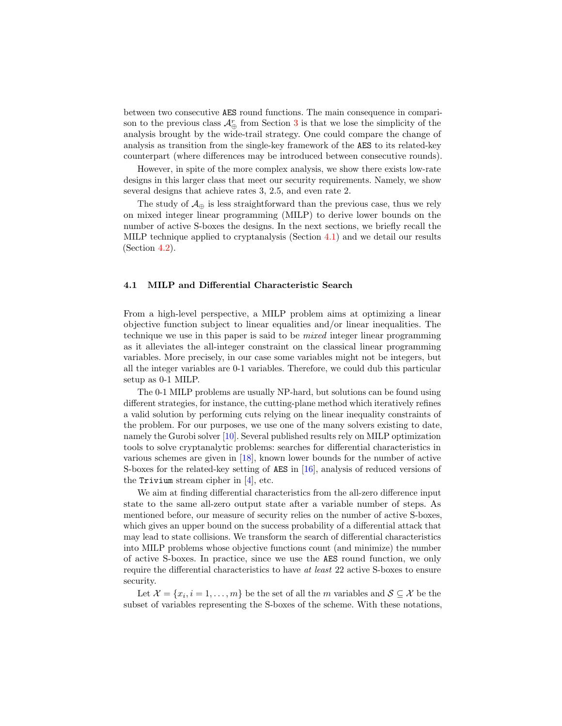between two consecutive AES round functions. The main consequence in comparison to the previous class  $\mathcal{A}_{\oplus}^r$  from Section [3](#page-9-0) is that we lose the simplicity of the analysis brought by the wide-trail strategy. One could compare the change of analysis as transition from the single-key framework of the AES to its related-key counterpart (where differences may be introduced between consecutive rounds).

However, in spite of the more complex analysis, we show there exists low-rate designs in this larger class that meet our security requirements. Namely, we show several designs that achieve rates 3, 2.5, and even rate 2.

The study of  $\mathcal{A}_{\oplus}$  is less straightforward than the previous case, thus we rely on mixed integer linear programming (MILP) to derive lower bounds on the number of active S-boxes the designs. In the next sections, we briefly recall the MILP technique applied to cryptanalysis (Section [4.1\)](#page-12-0) and we detail our results (Section [4.2\)](#page-14-0).

#### <span id="page-12-0"></span>4.1 MILP and Differential Characteristic Search

From a high-level perspective, a MILP problem aims at optimizing a linear objective function subject to linear equalities and/or linear inequalities. The technique we use in this paper is said to be mixed integer linear programming as it alleviates the all-integer constraint on the classical linear programming variables. More precisely, in our case some variables might not be integers, but all the integer variables are 0-1 variables. Therefore, we could dub this particular setup as 0-1 MILP.

The 0-1 MILP problems are usually NP-hard, but solutions can be found using different strategies, for instance, the cutting-plane method which iteratively refines a valid solution by performing cuts relying on the linear inequality constraints of the problem. For our purposes, we use one of the many solvers existing to date, namely the Gurobi solver [\[10\]](#page-19-7). Several published results rely on MILP optimization tools to solve cryptanalytic problems: searches for differential characteristics in various schemes are given in [\[18\]](#page-19-8), known lower bounds for the number of active S-boxes for the related-key setting of AES in [\[16\]](#page-19-9), analysis of reduced versions of the Trivium stream cipher in [\[4\]](#page-18-7), etc.

We aim at finding differential characteristics from the all-zero difference input state to the same all-zero output state after a variable number of steps. As mentioned before, our measure of security relies on the number of active S-boxes, which gives an upper bound on the success probability of a differential attack that may lead to state collisions. We transform the search of differential characteristics into MILP problems whose objective functions count (and minimize) the number of active S-boxes. In practice, since we use the AES round function, we only require the differential characteristics to have at least 22 active S-boxes to ensure security.

Let  $\mathcal{X} = \{x_i, i = 1, \ldots, m\}$  be the set of all the m variables and  $\mathcal{S} \subseteq \mathcal{X}$  be the subset of variables representing the S-boxes of the scheme. With these notations,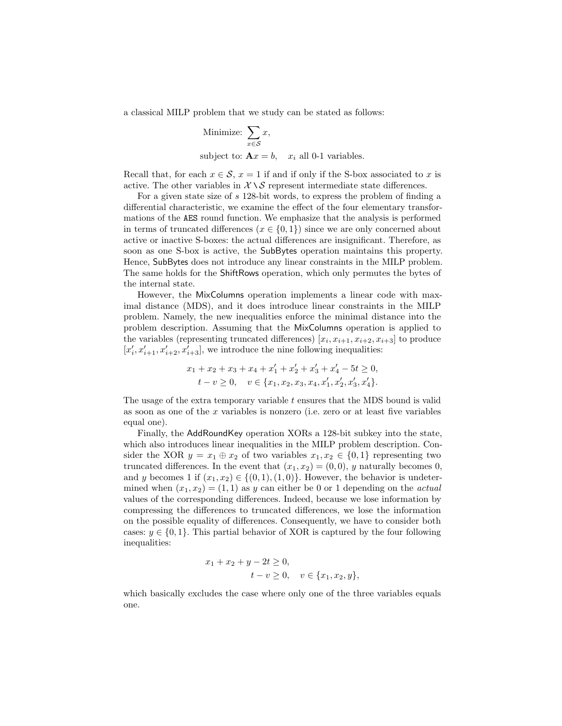a classical MILP problem that we study can be stated as follows:

Minimize: 
$$
\sum_{x \in S} x,
$$
subject to:  $Ax = b$ ,  $x_i$  all 0-1 variables.

Recall that, for each  $x \in \mathcal{S}$ ,  $x = 1$  if and if only if the S-box associated to x is active. The other variables in  $X \setminus S$  represent intermediate state differences.

For a given state size of s 128-bit words, to express the problem of finding a differential characteristic, we examine the effect of the four elementary transformations of the AES round function. We emphasize that the analysis is performed in terms of truncated differences ( $x \in \{0, 1\}$ ) since we are only concerned about active or inactive S-boxes: the actual differences are insignificant. Therefore, as soon as one S-box is active, the SubBytes operation maintains this property. Hence, SubBytes does not introduce any linear constraints in the MILP problem. The same holds for the ShiftRows operation, which only permutes the bytes of the internal state.

However, the MixColumns operation implements a linear code with maximal distance (MDS), and it does introduce linear constraints in the MILP problem. Namely, the new inequalities enforce the minimal distance into the problem description. Assuming that the MixColumns operation is applied to the variables (representing truncated differences)  $[x_i, x_{i+1}, x_{i+2}, x_{i+3}]$  to produce  $[x'_i, x'_{i+1}, x'_{i+2}, x'_{i+3}]$ , we introduce the nine following inequalities:

$$
x_1 + x_2 + x_3 + x_4 + x'_1 + x'_2 + x'_3 + x'_4 - 5t \ge 0,
$$
  

$$
t - v \ge 0, \quad v \in \{x_1, x_2, x_3, x_4, x'_1, x'_2, x'_3, x'_4\}.
$$

The usage of the extra temporary variable t ensures that the MDS bound is valid as soon as one of the x variables is nonzero (i.e. zero or at least five variables equal one).

Finally, the AddRoundKey operation XORs a 128-bit subkey into the state, which also introduces linear inequalities in the MILP problem description. Consider the XOR  $y = x_1 \oplus x_2$  of two variables  $x_1, x_2 \in \{0, 1\}$  representing two truncated differences. In the event that  $(x_1, x_2) = (0, 0), y$  naturally becomes 0, and y becomes 1 if  $(x_1, x_2) \in \{(0, 1), (1, 0)\}.$  However, the behavior is undetermined when  $(x_1, x_2) = (1, 1)$  as y can either be 0 or 1 depending on the *actual* values of the corresponding differences. Indeed, because we lose information by compressing the differences to truncated differences, we lose the information on the possible equality of differences. Consequently, we have to consider both cases:  $y \in \{0, 1\}$ . This partial behavior of XOR is captured by the four following inequalities:

$$
x_1 + x_2 + y - 2t \ge 0,
$$
  

$$
t - v \ge 0, \quad v \in \{x_1, x_2, y\},\
$$

which basically excludes the case where only one of the three variables equals one.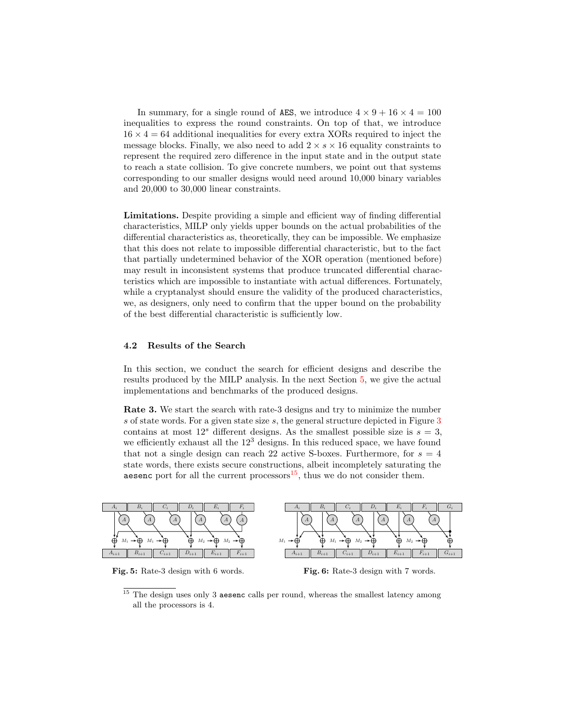In summary, for a single round of AES, we introduce  $4 \times 9 + 16 \times 4 = 100$ inequalities to express the round constraints. On top of that, we introduce  $16 \times 4 = 64$  additional inequalities for every extra XORs required to inject the message blocks. Finally, we also need to add  $2 \times s \times 16$  equality constraints to represent the required zero difference in the input state and in the output state to reach a state collision. To give concrete numbers, we point out that systems corresponding to our smaller designs would need around 10,000 binary variables and 20,000 to 30,000 linear constraints.

Limitations. Despite providing a simple and efficient way of finding differential characteristics, MILP only yields upper bounds on the actual probabilities of the differential characteristics as, theoretically, they can be impossible. We emphasize that this does not relate to impossible differential characteristic, but to the fact that partially undetermined behavior of the XOR operation (mentioned before) may result in inconsistent systems that produce truncated differential characteristics which are impossible to instantiate with actual differences. Fortunately, while a cryptanalyst should ensure the validity of the produced characteristics, we, as designers, only need to confirm that the upper bound on the probability of the best differential characteristic is sufficiently low.

### <span id="page-14-0"></span>4.2 Results of the Search

In this section, we conduct the search for efficient designs and describe the results produced by the MILP analysis. In the next Section [5,](#page-16-0) we give the actual implementations and benchmarks of the produced designs.

Rate 3. We start the search with rate-3 designs and try to minimize the number s of state words. For a given state size s, the general structure depicted in Figure [3](#page-8-0) contains at most  $12<sup>s</sup>$  different designs. As the smallest possible size is  $s = 3$ , we efficiently exhaust all the  $12<sup>3</sup>$  designs. In this reduced space, we have found that not a single design can reach 22 active S-boxes. Furthermore, for  $s = 4$ state words, there exists secure constructions, albeit incompletely saturating the aesenc port for all the current processors $15$ , thus we do not consider them.

<span id="page-14-2"></span>

Fig. 5: Rate-3 design with 6 words.

Fig. 6: Rate-3 design with 7 words.

<span id="page-14-1"></span> $15$  The design uses only 3 aesenc calls per round, whereas the smallest latency among all the processors is 4.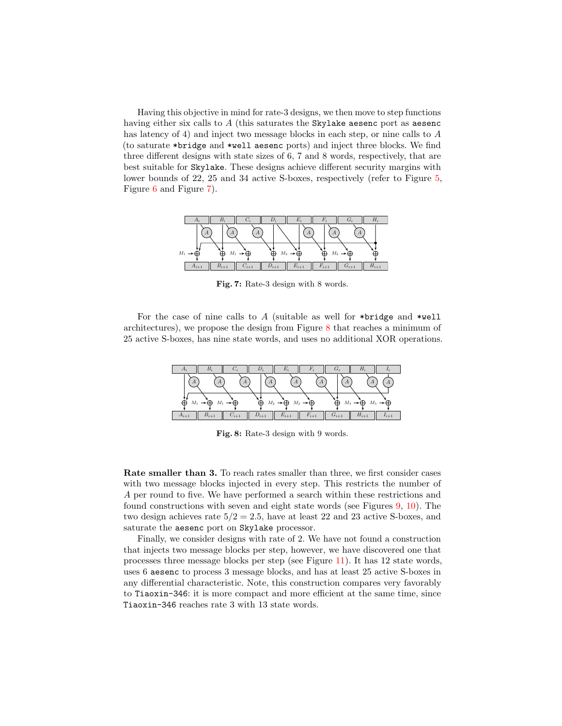Having this objective in mind for rate-3 designs, we then move to step functions having either six calls to A (this saturates the Skylake aesenc port as aesenc has latency of 4) and inject two message blocks in each step, or nine calls to A (to saturate \*bridge and \*well aesenc ports) and inject three blocks. We find three different designs with state sizes of 6, 7 and 8 words, respectively, that are best suitable for Skylake. These designs achieve different security margins with lower bounds of 22, 25 and 34 active S-boxes, respectively (refer to Figure [5,](#page-14-2) Figure [6](#page-14-2) and Figure [7\)](#page-15-0).

<span id="page-15-0"></span>

Fig. 7: Rate-3 design with 8 words.

For the case of nine calls to A (suitable as well for \*bridge and \*well architectures), we propose the design from Figure [8](#page-15-1) that reaches a minimum of 25 active S-boxes, has nine state words, and uses no additional XOR operations.

<span id="page-15-1"></span>

Fig. 8: Rate-3 design with 9 words.

Rate smaller than 3. To reach rates smaller than three, we first consider cases with two message blocks injected in every step. This restricts the number of A per round to five. We have performed a search within these restrictions and found constructions with seven and eight state words (see Figures [9,](#page-16-1) [10\)](#page-16-1). The two design achieves rate  $5/2 = 2.5$ , have at least 22 and 23 active S-boxes, and saturate the aesenc port on Skylake processor.

Finally, we consider designs with rate of 2. We have not found a construction that injects two message blocks per step, however, we have discovered one that processes three message blocks per step (see Figure [11\)](#page-16-2). It has 12 state words, uses 6 aesenc to process 3 message blocks, and has at least 25 active S-boxes in any differential characteristic. Note, this construction compares very favorably to Tiaoxin-346: it is more compact and more efficient at the same time, since Tiaoxin-346 reaches rate 3 with 13 state words.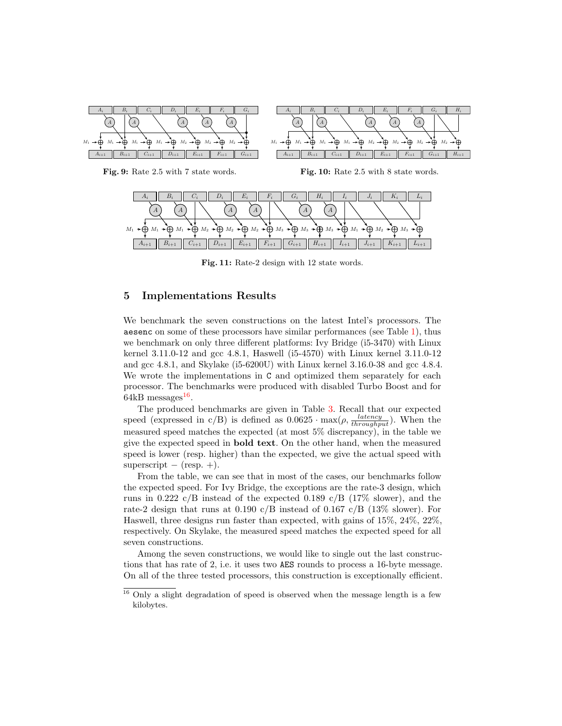<span id="page-16-1"></span>

Fig. 9: Rate 2.5 with 7 state words.

Fig. 10: Rate 2.5 with 8 state words.

<span id="page-16-2"></span>

Fig. 11: Rate-2 design with 12 state words.

## <span id="page-16-0"></span>5 Implementations Results

We benchmark the seven constructions on the latest Intel's processors. The aesenc on some of these processors have similar performances (see Table [1\)](#page-3-0), thus we benchmark on only three different platforms: Ivy Bridge (i5-3470) with Linux kernel 3.11.0-12 and gcc 4.8.1, Haswell (i5-4570) with Linux kernel 3.11.0-12 and gcc 4.8.1, and Skylake (i5-6200U) with Linux kernel 3.16.0-38 and gcc 4.8.4. We wrote the implementations in C and optimized them separately for each processor. The benchmarks were produced with disabled Turbo Boost and for  $64kB$  messages<sup>[16](#page-16-3)</sup>.

The produced benchmarks are given in Table [3.](#page-17-0) Recall that our expected speed (expressed in c/B) is defined as  $0.0625 \cdot \max(\rho, \frac{latency}{throughput})$ . When the measured speed matches the expected (at most 5% discrepancy), in the table we give the expected speed in bold text. On the other hand, when the measured speed is lower (resp. higher) than the expected, we give the actual speed with superscript  $-$  (resp.  $+)$ .

From the table, we can see that in most of the cases, our benchmarks follow the expected speed. For Ivy Bridge, the exceptions are the rate-3 design, which runs in 0.222 c/B instead of the expected 0.189 c/B (17\% slower), and the rate-2 design that runs at  $0.190 \text{ c/B}$  instead of  $0.167 \text{ c/B}$  ( $13\%$  slower). For Haswell, three designs run faster than expected, with gains of 15%, 24%, 22%, respectively. On Skylake, the measured speed matches the expected speed for all seven constructions.

Among the seven constructions, we would like to single out the last constructions that has rate of 2, i.e. it uses two AES rounds to process a 16-byte message. On all of the three tested processors, this construction is exceptionally efficient.

<span id="page-16-3"></span><sup>&</sup>lt;sup>16</sup> Only a slight degradation of speed is observed when the message length is a few kilobytes.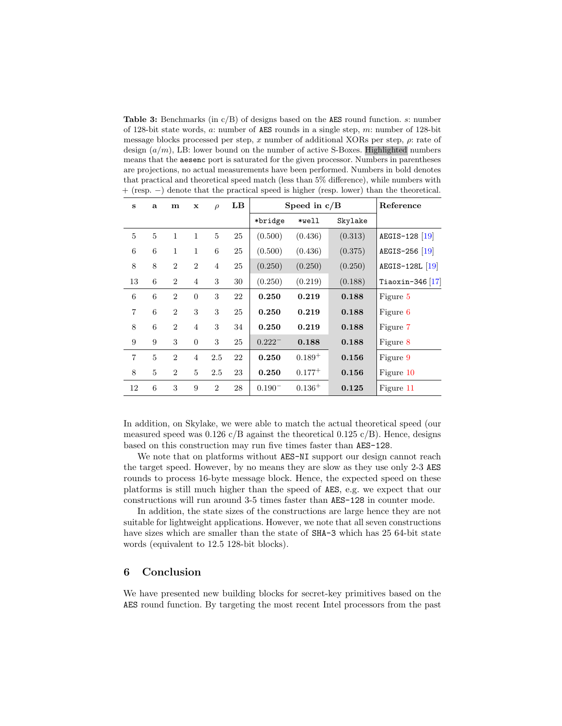<span id="page-17-0"></span>Table 3: Benchmarks (in  $c/B$ ) of designs based on the AES round function. s: number of 128-bit state words, a: number of AES rounds in a single step, m: number of 128-bit message blocks processed per step, x number of additional XORs per step,  $\rho$ : rate of design  $(a/m)$ , LB: lower bound on the number of active S-Boxes. Highlighted numbers means that the aesenc port is saturated for the given processor. Numbers in parentheses are projections, no actual measurements have been performed. Numbers in bold denotes that practical and theoretical speed match (less than 5% difference), while numbers with + (resp. −) denote that the practical speed is higher (resp. lower) than the theoretical.

| S              | a              | m              | $\mathbf x$    | $\rho$          | $\mathbf{LB}$ |             | Speed in $c/B$ | Reference |                    |
|----------------|----------------|----------------|----------------|-----------------|---------------|-------------|----------------|-----------|--------------------|
|                |                |                |                |                 |               | *bridge     | *well          | Skylake   |                    |
| 5              | $\overline{5}$ | 1              | $\mathbf{1}$   | 5               | 25            | (0.500)     | (0.436)        | (0.313)   | AEGIS-128 [19]     |
| 6              | 6              | 1              | $\mathbf{1}$   | $6\phantom{.}6$ | 25            | (0.500)     | (0.436)        | (0.375)   | AEGIS-256 [19]     |
| 8              | 8              | $\overline{2}$ | $\overline{2}$ | 4               | 25            | (0.250)     | (0.250)        | (0.250)   | AEGIS-128L [19]    |
| 13             | 6              | $\overline{2}$ | $\overline{4}$ | 3               | 30            | (0.250)     | (0.219)        | (0.188)   | Tiaoxin-346 $ 17 $ |
| 6              | 6              | $\overline{2}$ | $\overline{0}$ | 3               | 22            | 0.250       | 0.219          | 0.188     | Figure 5           |
| $\overline{7}$ | 6              | $\overline{2}$ | 3              | 3               | 25            | 0.250       | 0.219          | 0.188     | Figure 6           |
| 8              | 6              | $\overline{2}$ | $\overline{4}$ | 3               | 34            | 0.250       | 0.219          | 0.188     | Figure 7           |
| 9              | 9              | 3              | $\overline{0}$ | 3               | 25            | $0.222^{-}$ | 0.188          | 0.188     | Figure 8           |
| $\overline{7}$ | 5              | $\overline{2}$ | $\overline{4}$ | 2.5             | 22            | 0.250       | $0.189^{+}$    | 0.156     | Figure 9           |
| 8              | $\overline{5}$ | $\overline{2}$ | 5              | 2.5             | 23            | 0.250       | $0.177^{+}$    | 0.156     | Figure 10          |
| 12             | 6              | 3              | 9              | $\overline{2}$  | 28            | $0.190^{-}$ | $0.136^{+}$    | 0.125     | Figure 11          |

In addition, on Skylake, we were able to match the actual theoretical speed (our measured speed was  $0.126 \text{ c}/\text{B}$  against the theoretical  $0.125 \text{ c}/\text{B}$ ). Hence, designs based on this construction may run five times faster than AES-128.

We note that on platforms without AES-NI support our design cannot reach the target speed. However, by no means they are slow as they use only 2-3 AES rounds to process 16-byte message block. Hence, the expected speed on these platforms is still much higher than the speed of AES, e.g. we expect that our constructions will run around 3-5 times faster than AES-128 in counter mode.

In addition, the state sizes of the constructions are large hence they are not suitable for lightweight applications. However, we note that all seven constructions have sizes which are smaller than the state of SHA-3 which has 25 64-bit state words (equivalent to 12.5 128-bit blocks).

## 6 Conclusion

We have presented new building blocks for secret-key primitives based on the AES round function. By targeting the most recent Intel processors from the past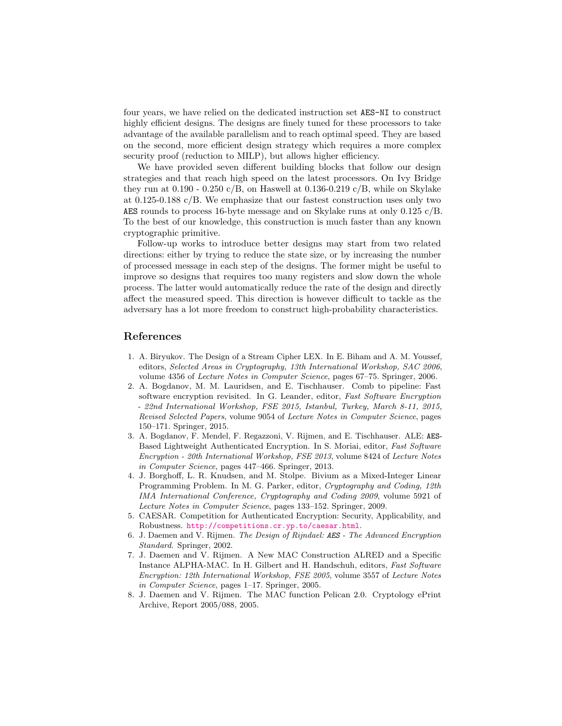four years, we have relied on the dedicated instruction set AES-NI to construct highly efficient designs. The designs are finely tuned for these processors to take advantage of the available parallelism and to reach optimal speed. They are based on the second, more efficient design strategy which requires a more complex security proof (reduction to MILP), but allows higher efficiency.

We have provided seven different building blocks that follow our design strategies and that reach high speed on the latest processors. On Ivy Bridge they run at  $0.190 - 0.250$  c/B, on Haswell at  $0.136 - 0.219$  c/B, while on Skylake at 0.125-0.188 c/B. We emphasize that our fastest construction uses only two AES rounds to process 16-byte message and on Skylake runs at only 0.125 c/B. To the best of our knowledge, this construction is much faster than any known cryptographic primitive.

Follow-up works to introduce better designs may start from two related directions: either by trying to reduce the state size, or by increasing the number of processed message in each step of the designs. The former might be useful to improve so designs that requires too many registers and slow down the whole process. The latter would automatically reduce the rate of the design and directly affect the measured speed. This direction is however difficult to tackle as the adversary has a lot more freedom to construct high-probability characteristics.

### References

- <span id="page-18-3"></span>1. A. Biryukov. The Design of a Stream Cipher LEX. In E. Biham and A. M. Youssef, editors, Selected Areas in Cryptography, 13th International Workshop, SAC 2006, volume 4356 of Lecture Notes in Computer Science, pages 67–75. Springer, 2006.
- <span id="page-18-6"></span>2. A. Bogdanov, M. M. Lauridsen, and E. Tischhauser. Comb to pipeline: Fast software encryption revisited. In G. Leander, editor, Fast Software Encryption - 22nd International Workshop, FSE 2015, Istanbul, Turkey, March 8-11, 2015, Revised Selected Papers, volume 9054 of Lecture Notes in Computer Science, pages 150–171. Springer, 2015.
- <span id="page-18-4"></span>3. A. Bogdanov, F. Mendel, F. Regazzoni, V. Rijmen, and E. Tischhauser. ALE: AES-Based Lightweight Authenticated Encryption. In S. Moriai, editor, Fast Software Encryption - 20th International Workshop, FSE 2013, volume 8424 of Lecture Notes in Computer Science, pages 447–466. Springer, 2013.
- <span id="page-18-7"></span>4. J. Borghoff, L. R. Knudsen, and M. Stolpe. Bivium as a Mixed-Integer Linear Programming Problem. In M. G. Parker, editor, Cryptography and Coding, 12th IMA International Conference, Cryptography and Coding 2009, volume 5921 of Lecture Notes in Computer Science, pages 133–152. Springer, 2009.
- <span id="page-18-5"></span>5. CAESAR. Competition for Authenticated Encryption: Security, Applicability, and Robustness. <http://competitions.cr.yp.to/caesar.html>.
- <span id="page-18-0"></span>6. J. Daemen and V. Rijmen. The Design of Rijndael: AES - The Advanced Encryption Standard. Springer, 2002.
- <span id="page-18-2"></span>7. J. Daemen and V. Rijmen. A New MAC Construction ALRED and a Specific Instance ALPHA-MAC. In H. Gilbert and H. Handschuh, editors, Fast Software Encryption: 12th International Workshop, FSE 2005, volume 3557 of Lecture Notes in Computer Science, pages 1–17. Springer, 2005.
- <span id="page-18-1"></span>8. J. Daemen and V. Rijmen. The MAC function Pelican 2.0. Cryptology ePrint Archive, Report 2005/088, 2005.